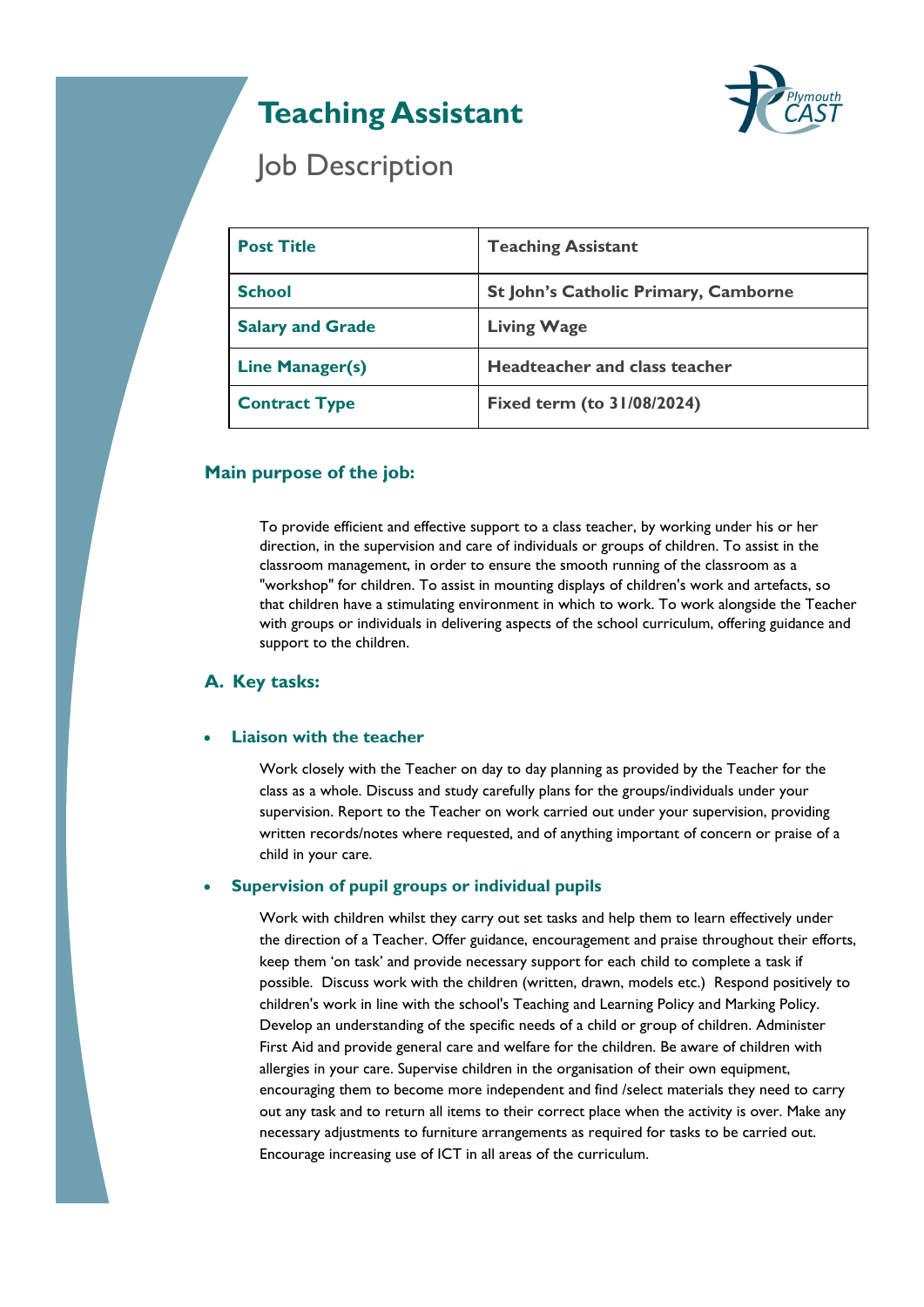# **Teaching Assistant**



## Job Description

| <b>Post Title</b>       | <b>Teaching Assistant</b>                   |
|-------------------------|---------------------------------------------|
| <b>School</b>           | <b>St John's Catholic Primary, Camborne</b> |
| <b>Salary and Grade</b> | <b>Living Wage</b>                          |
| <b>Line Manager(s)</b>  | Headteacher and class teacher               |
| <b>Contract Type</b>    | <b>Fixed term (to 31/08/2024)</b>           |

### **Main purpose of the job:**

To provide efficient and effective support to a class teacher, by working under his or her direction, in the supervision and care of individuals or groups of children. To assist in the classroom management, in order to ensure the smooth running of the classroom as a "workshop" for children. To assist in mounting displays of children's work and artefacts, so that children have a stimulating environment in which to work. To work alongside the Teacher with groups or individuals in delivering aspects of the school curriculum, offering guidance and support to the children.

### **A. Key tasks:**

### **Liaison with the teacher**

Work closely with the Teacher on day to day planning as provided by the Teacher for the class as a whole. Discuss and study carefully plans for the groups/individuals under your supervision. Report to the Teacher on work carried out under your supervision, providing written records/notes where requested, and of anything important of concern or praise of a child in your care.

### **Supervision of pupil groups or individual pupils**

Work with children whilst they carry out set tasks and help them to learn effectively under the direction of a Teacher. Offer guidance, encouragement and praise throughout their efforts, keep them 'on task' and provide necessary support for each child to complete a task if possible. Discuss work with the children (written, drawn, models etc.) Respond positively to children's work in line with the school's Teaching and Learning Policy and Marking Policy. Develop an understanding of the specific needs of a child or group of children. Administer First Aid and provide general care and welfare for the children. Be aware of children with allergies in your care. Supervise children in the organisation of their own equipment, encouraging them to become more independent and find /select materials they need to carry out any task and to return all items to their correct place when the activity is over. Make any necessary adjustments to furniture arrangements as required for tasks to be carried out. Encourage increasing use of ICT in all areas of the curriculum.